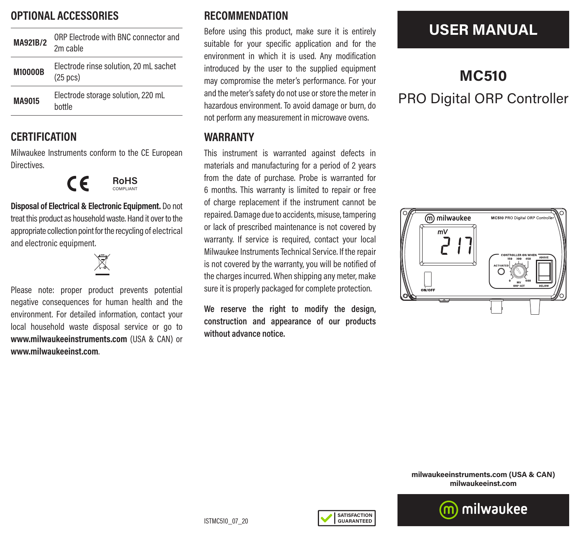### **OPTIONAL ACCESSORIES**

| MA921B/2       | ORP Flectrode with BNC connector and<br>2m cable             |
|----------------|--------------------------------------------------------------|
| <b>M10000B</b> | Electrode rinse solution, 20 mL sachet<br>$(25 \text{ pcs})$ |
| <b>MA9015</b>  | Electrode storage solution, 220 mL<br>hottle                 |

### **CERTIFICATION**

Milwaukee Instruments conform to the CE European Directives.



**Disposal of Electrical & Electronic Equipment.** Do not treat this product as household waste. Hand it over to the appropriate collection point for the recycling of electrical and electronic equipment.

K

Please note: proper product prevents potential negative consequences for human health and the environment. For detailed information, contact your local household waste disposal service or go to **www.milwaukeeinstruments.com** (USA & CAN) or **www.milwaukeeinst.com**.

### **RECOMMENDATION**

Before using this product, make sure it is entirely suitable for your specific application and for the environment in which it is used. Any modification introduced by the user to the supplied equipment may compromise the meter's performance. For your and the meter's safety do not use or store the meter in hazardous environment. To avoid damage or burn, do not perform any measurement in microwave ovens.

#### **WARRANTY**

This instrument is warranted against defects in materials and manufacturing for a period of 2 years from the date of purchase. Probe is warranted for 6 months. This warranty is limited to repair or free of charge replacement if the instrument cannot be repaired. Damage due to accidents, misuse, tampering or lack of prescribed maintenance is not covered by warranty. If service is required, contact your local Milwaukee Instruments Technical Service. If the repair is not covered by the warranty, you will be notified of the charges incurred. When shipping any meter, make sure it is properly packaged for complete protection.

**We reserve the right to modify the design, construction and appearance of our products without advance notice.**

## **USER MANUAL**

# **MC510** PRO Digital ORP Controller



**milwaukeeinstruments.com (USA & CAN) milwaukeeinst.com**